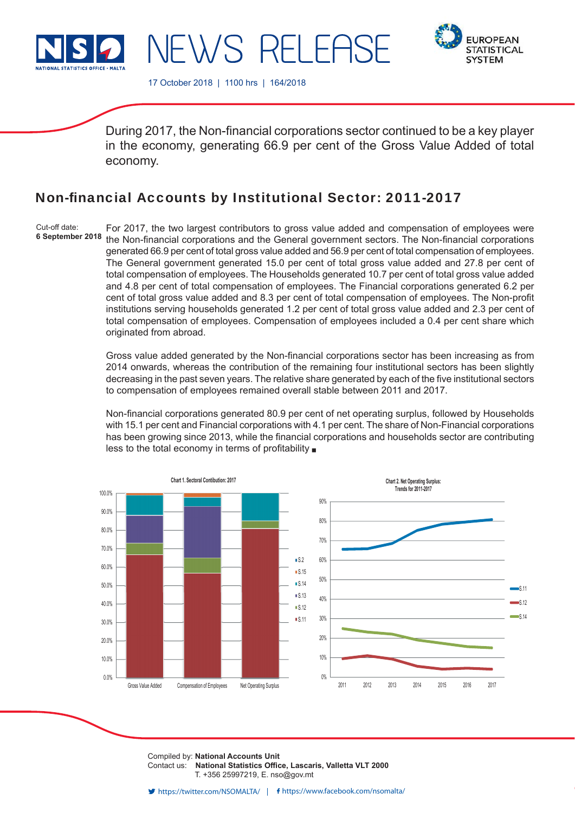

**EUROPEAN STATISTICAL SYSTEM** 

17 October 2018 | 1100 hrs | 164/2018

NEWS RELEF

During 2017, the Non-financial corporations sector continued to be a key player in the economy, generating 66.9 per cent of the Gross Value Added of total economy.

# Non-financial Accounts by Institutional Sector: 2011-2017

Cut-off date: **6 September 2018** For 2017, the two largest contributors to gross value added and compensation of employees were the Non-financial corporations and the General government sectors. The Non-financial corporations generated 66.9 per cent of total gross value added and 56.9 per cent of total compensation of employees. The General government generated 15.0 per cent of total gross value added and 27.8 per cent of total compensation of employees. The Households generated 10.7 per cent of total gross value added and 4.8 per cent of total compensation of employees. The Financial corporations generated 6.2 per cent of total gross value added and 8.3 per cent of total compensation of employees. The Non-profit institutions serving households generated 1.2 per cent of total gross value added and 2.3 per cent of total compensation of employees. Compensation of employees included a 0.4 per cent share which originated from abroad.

Gross value added generated by the Non-financial corporations sector has been increasing as from 2014 onwards, whereas the contribution of the remaining four institutional sectors has been slightly decreasing in the past seven years. The relative share generated by each of the five institutional sectors to compensation of employees remained overall stable between 2011 and 2017.

Non-financial corporations generated 80.9 per cent of net operating surplus, followed by Households with 15.1 per cent and Financial corporations with 4.1 per cent. The share of Non-Financial corporations has been growing since 2013, while the financial corporations and households sector are contributing less to the total economy in terms of profitability  $\blacksquare$ 



Compiled by: **National Accounts Unit** Contact us: National Statistics Office, Lascaris, Valletta VLT 2000 T. +356 25997219, E. nso@gov.mt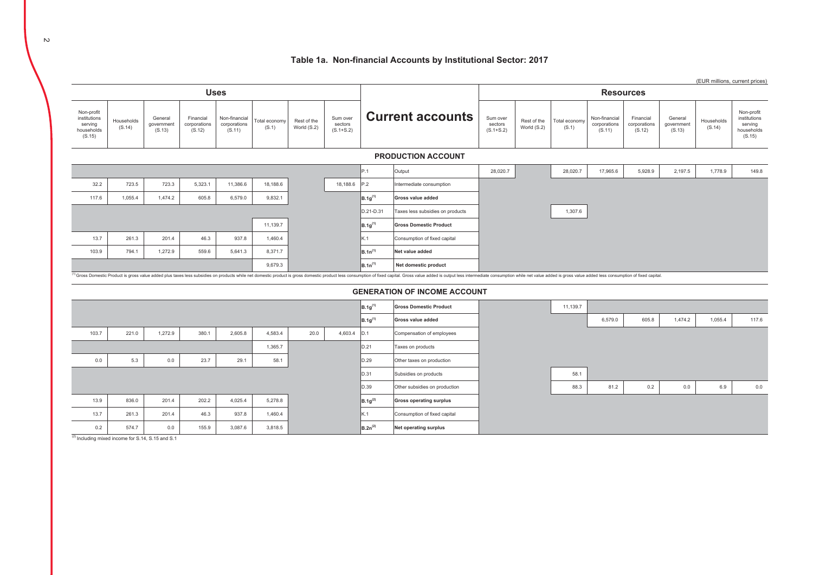#### Table 1a. Non-financial Accounts by Institutional Sector: 2017



<sup>(2)</sup> Including mixed income for S.14, S.15 and S.1

 $\sim$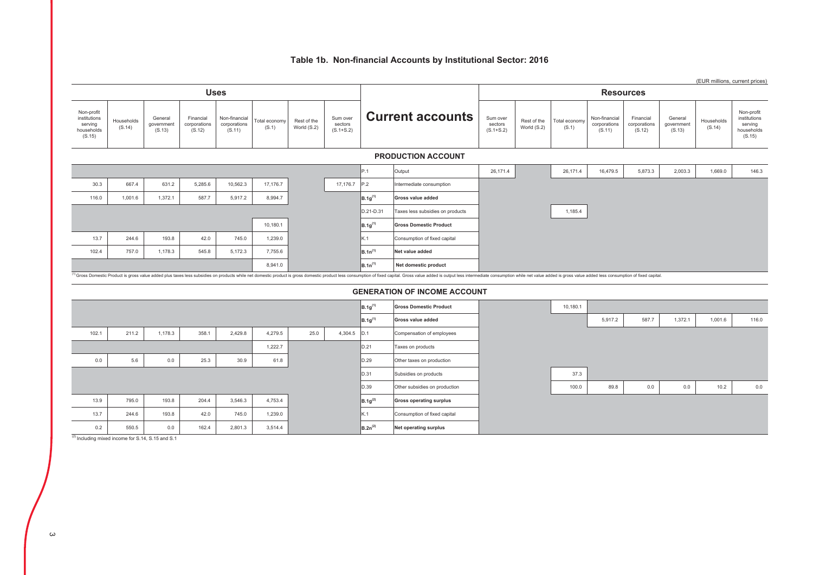# Table 1b. Non-financial Accounts by Institutional Sector: 2016

|                                                               |                      |                                 |                                     |                                         |                        |                            |                                      |              |                                                                                                                                                                                                                                |                                      |                            |                        |                                         |                                     |                                 |                      | (EUR millions, current prices)                                |
|---------------------------------------------------------------|----------------------|---------------------------------|-------------------------------------|-----------------------------------------|------------------------|----------------------------|--------------------------------------|--------------|--------------------------------------------------------------------------------------------------------------------------------------------------------------------------------------------------------------------------------|--------------------------------------|----------------------------|------------------------|-----------------------------------------|-------------------------------------|---------------------------------|----------------------|---------------------------------------------------------------|
|                                                               |                      |                                 |                                     | <b>Uses</b>                             |                        |                            |                                      |              |                                                                                                                                                                                                                                |                                      |                            |                        |                                         | <b>Resources</b>                    |                                 |                      |                                                               |
| Non-profit<br>institutions<br>serving<br>households<br>(S.15) | Households<br>(S.14) | General<br>government<br>(S.13) | Financial<br>corporations<br>(S.12) | Non-financial<br>corporations<br>(S.11) | Total economy<br>(S.1) | Rest of the<br>World (S.2) | Sum over<br>sectors<br>$(S.1 + S.2)$ |              | <b>Current accounts</b>                                                                                                                                                                                                        | Sum over<br>sectors<br>$(S.1 + S.2)$ | Rest of the<br>World (S.2) | Total economy<br>(S.1) | Non-financial<br>corporations<br>(S.11) | Financial<br>corporations<br>(S.12) | General<br>government<br>(S.13) | Households<br>(S.14) | Non-profit<br>institutions<br>serving<br>households<br>(S.15) |
|                                                               |                      |                                 |                                     |                                         |                        |                            |                                      |              | <b>PRODUCTION ACCOUNT</b>                                                                                                                                                                                                      |                                      |                            |                        |                                         |                                     |                                 |                      |                                                               |
|                                                               |                      |                                 |                                     |                                         |                        |                            |                                      | P.1          | Output                                                                                                                                                                                                                         | 26,171.4                             |                            | 26,171.4               | 16,479.5                                | 5,873.3                             | 2,003.3                         | 1,669.0              | 146.3                                                         |
| 30.3                                                          | 667.4                | 631.2                           | 5,285.6                             | 10,562.3                                | 17,176.7               |                            | 17,176.7                             | P.2          | Intermediate consumption                                                                                                                                                                                                       |                                      |                            |                        |                                         |                                     |                                 |                      |                                                               |
| 116.0                                                         | 1,001.6              | 1,372.1                         | 587.7                               | 5,917.2                                 | 8,994.7                |                            |                                      | $B.1g^{(1)}$ | Gross value added                                                                                                                                                                                                              |                                      |                            |                        |                                         |                                     |                                 |                      |                                                               |
|                                                               |                      |                                 |                                     |                                         |                        |                            |                                      | D.21-D.31    | Taxes less subsidies on products                                                                                                                                                                                               |                                      |                            | 1,185.4                |                                         |                                     |                                 |                      |                                                               |
|                                                               |                      |                                 |                                     |                                         | 10,180.1               |                            |                                      | $B.1g^{(1)}$ | <b>Gross Domestic Product</b>                                                                                                                                                                                                  |                                      |                            |                        |                                         |                                     |                                 |                      |                                                               |
| 13.7                                                          | 244.6                | 193.8                           | 42.0                                | 745.0                                   | 1,239.0                |                            |                                      | K.1          | Consumption of fixed capital                                                                                                                                                                                                   |                                      |                            |                        |                                         |                                     |                                 |                      |                                                               |
| 102.4                                                         | 757.0                | 1,178.3                         | 545.8                               | 5,172.3                                 | 7,755.6                |                            |                                      | $B.1n^{(1)}$ | Net value added                                                                                                                                                                                                                |                                      |                            |                        |                                         |                                     |                                 |                      |                                                               |
|                                                               |                      |                                 |                                     |                                         | 8,941.0                |                            |                                      | $B.1n^{(1)}$ | Net domestic product                                                                                                                                                                                                           |                                      |                            |                        |                                         |                                     |                                 |                      |                                                               |
|                                                               |                      |                                 |                                     |                                         |                        |                            |                                      |              | (1) Gross Domestic Product is gross value added plus taxes less subsidies on products while net domestic product is gross domestic product less consumption of fixed capital. Gross value added is output less intermediate co |                                      |                            |                        |                                         |                                     |                                 |                      |                                                               |
|                                                               |                      |                                 |                                     |                                         |                        |                            |                                      |              | <b>GENERATION OF INCOME ACCOUNT</b>                                                                                                                                                                                            |                                      |                            |                        |                                         |                                     |                                 |                      |                                                               |
|                                                               |                      |                                 |                                     |                                         |                        |                            |                                      | $B.1g^{(1)}$ | <b>Gross Domestic Product</b>                                                                                                                                                                                                  |                                      |                            | 10,180.1               |                                         |                                     |                                 |                      |                                                               |
|                                                               |                      |                                 |                                     |                                         |                        |                            |                                      | $B.1g^{(1)}$ | Gross value added                                                                                                                                                                                                              |                                      |                            |                        | 5,917.2                                 | 587.7                               | 1,372.1                         | 1,001.6              | 116.0                                                         |
| 102.1                                                         | 211.2                | 1,178.3                         | 358.1                               | 2,429.8                                 | 4,279.5                | 25.0                       | 4,304.5                              | D.1          | Compensation of employees                                                                                                                                                                                                      |                                      |                            |                        |                                         |                                     |                                 |                      |                                                               |
|                                                               |                      |                                 |                                     |                                         | 1,222.7                |                            |                                      | D.21         | Taxes on products                                                                                                                                                                                                              |                                      |                            |                        |                                         |                                     |                                 |                      |                                                               |
| $0.0\,$                                                       | 5.6                  | 0.0                             | 25.3                                | 30.9                                    | 61.8                   |                            |                                      | D.29         | Other taxes on production                                                                                                                                                                                                      |                                      |                            |                        |                                         |                                     |                                 |                      |                                                               |
|                                                               |                      |                                 |                                     |                                         |                        |                            |                                      | D.31         | Subsidies on products                                                                                                                                                                                                          |                                      |                            | 37.3                   |                                         |                                     |                                 |                      |                                                               |
|                                                               |                      |                                 |                                     |                                         |                        |                            |                                      | D.39         | Other subsidies on production                                                                                                                                                                                                  |                                      |                            | 100.0                  | 89.8                                    | 0.0                                 | $0.0\,$                         | 10.2                 | 0.0                                                           |
| 13.9                                                          | 795.0                | 193.8                           | 204.4                               | 3,546.3                                 | 4,753.4                |                            |                                      | $B.1g^{(2)}$ | <b>Gross operating surplus</b>                                                                                                                                                                                                 |                                      |                            |                        |                                         |                                     |                                 |                      |                                                               |
| 13.7                                                          | 244.6                | 193.8                           | 42.0                                | 745.0                                   | 1,239.0                |                            |                                      | K.1          | Consumption of fixed capital                                                                                                                                                                                                   |                                      |                            |                        |                                         |                                     |                                 |                      |                                                               |
| 0.2                                                           | 550.5                | 0.0                             | 162.4                               | 2,801.3                                 | 3,514.4                |                            |                                      | $B.2n^{(2)}$ | Net operating surplus                                                                                                                                                                                                          |                                      |                            |                        |                                         |                                     |                                 |                      |                                                               |

 $(2)$  Including mixed income for S.14, S.15 and S.1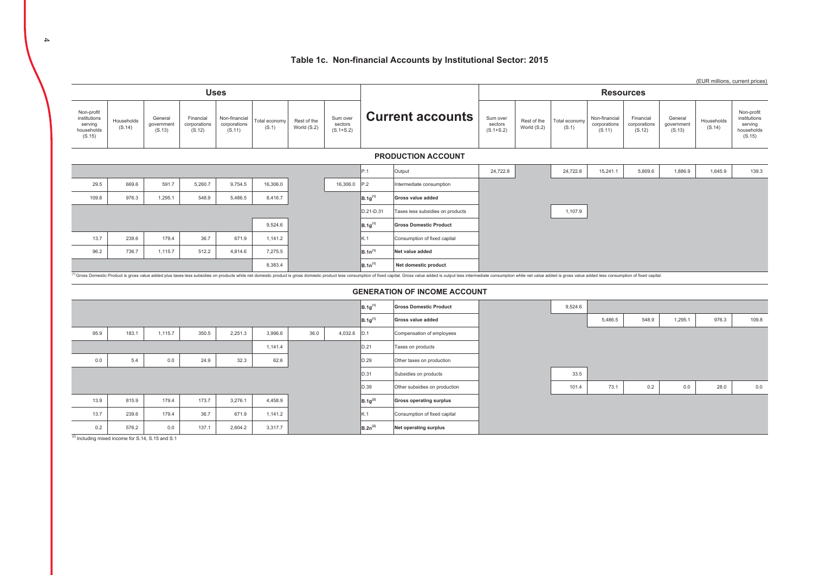#### Table 1c. Non-financial Accounts by Institutional Sector: 2015



 $\overline{4}$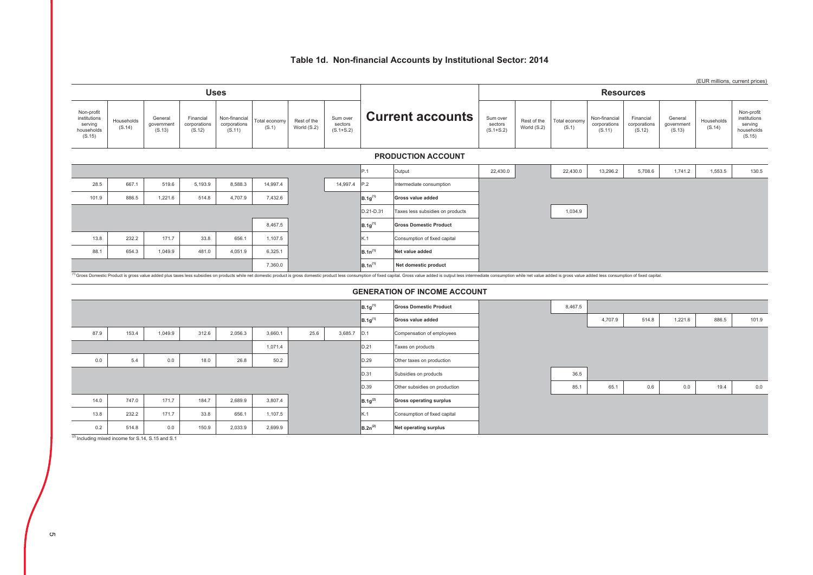# Table 1d. Non-financial Accounts by Institutional Sector: 2014

|                                                               |                      |                                 |                                     |                                         |                        |                            |                                      |              |                                                                                                                                                                                                                                |                                      |                            |                        |                                         |                                     |                                 | (EUR millions, current prices) |                                                               |
|---------------------------------------------------------------|----------------------|---------------------------------|-------------------------------------|-----------------------------------------|------------------------|----------------------------|--------------------------------------|--------------|--------------------------------------------------------------------------------------------------------------------------------------------------------------------------------------------------------------------------------|--------------------------------------|----------------------------|------------------------|-----------------------------------------|-------------------------------------|---------------------------------|--------------------------------|---------------------------------------------------------------|
|                                                               |                      |                                 |                                     | <b>Uses</b>                             |                        |                            |                                      |              |                                                                                                                                                                                                                                |                                      |                            |                        | <b>Resources</b>                        |                                     |                                 |                                |                                                               |
| Non-profit<br>institutions<br>serving<br>households<br>(S.15) | Households<br>(S.14) | General<br>government<br>(S.13) | Financial<br>corporations<br>(S.12) | Non-financial<br>corporations<br>(S.11) | Total economy<br>(S.1) | Rest of the<br>World (S.2) | Sum over<br>sectors<br>$(S.1 + S.2)$ |              | <b>Current accounts</b>                                                                                                                                                                                                        | Sum over<br>sectors<br>$(S.1 + S.2)$ | Rest of the<br>World (S.2) | Total economy<br>(S.1) | Non-financial<br>corporations<br>(S.11) | Financial<br>corporations<br>(S.12) | General<br>government<br>(S.13) | Households<br>(S.14)           | Non-profit<br>institutions<br>serving<br>households<br>(S.15) |
|                                                               |                      |                                 |                                     |                                         |                        |                            |                                      |              | <b>PRODUCTION ACCOUNT</b>                                                                                                                                                                                                      |                                      |                            |                        |                                         |                                     |                                 |                                |                                                               |
|                                                               |                      |                                 |                                     |                                         |                        |                            |                                      | P.1          | Output                                                                                                                                                                                                                         | 22,430.0                             |                            | 22,430.0               | 13,296.2                                | 5,708.6                             | 1,741.2                         | 1,553.5                        | 130.5                                                         |
| 28.5                                                          | 667.1                | 519.6                           | 5,193.9                             | 8,588.3                                 | 14,997.4               |                            | 14,997.4                             | P.2          | Intermediate consumption                                                                                                                                                                                                       |                                      |                            |                        |                                         |                                     |                                 |                                |                                                               |
| 101.9                                                         | 886.5                | 1,221.6                         | 514.8                               | 4,707.9                                 | 7,432.6                |                            |                                      | $B.1g^{(1)}$ | Gross value added                                                                                                                                                                                                              |                                      |                            |                        |                                         |                                     |                                 |                                |                                                               |
|                                                               |                      |                                 |                                     |                                         |                        |                            |                                      | D.21-D.31    | Taxes less subsidies on products                                                                                                                                                                                               |                                      |                            | 1,034.9                |                                         |                                     |                                 |                                |                                                               |
|                                                               |                      |                                 |                                     |                                         | 8,467.5                |                            |                                      | $B.1g^{(1)}$ | <b>Gross Domestic Product</b>                                                                                                                                                                                                  |                                      |                            |                        |                                         |                                     |                                 |                                |                                                               |
| 13.8                                                          | 232.2                | 171.7                           | 33.8                                | 656.1                                   | 1,107.5                |                            |                                      | K.1          | Consumption of fixed capital                                                                                                                                                                                                   |                                      |                            |                        |                                         |                                     |                                 |                                |                                                               |
| 88.1                                                          | 654.3                | 1,049.9                         | 481.0                               | 4,051.9                                 | 6,325.1                |                            |                                      | $B.1n^{(1)}$ | Net value added                                                                                                                                                                                                                |                                      |                            |                        |                                         |                                     |                                 |                                |                                                               |
|                                                               |                      |                                 |                                     |                                         | 7,360.0                |                            |                                      | $B.1n^{(1)}$ | Net domestic product                                                                                                                                                                                                           |                                      |                            |                        |                                         |                                     |                                 |                                |                                                               |
|                                                               |                      |                                 |                                     |                                         |                        |                            |                                      |              | (1) Gross Domestic Product is gross value added plus taxes less subsidies on products while net domestic product is gross domestic product less consumption of fixed capital. Gross value added is output less intermediate co |                                      |                            |                        |                                         |                                     |                                 |                                |                                                               |
|                                                               |                      |                                 |                                     |                                         |                        |                            |                                      |              | <b>GENERATION OF INCOME ACCOUNT</b>                                                                                                                                                                                            |                                      |                            |                        |                                         |                                     |                                 |                                |                                                               |
|                                                               |                      |                                 |                                     |                                         |                        |                            |                                      | $B.1g^{(1)}$ | <b>Gross Domestic Product</b>                                                                                                                                                                                                  |                                      |                            | 8,467.5                |                                         |                                     |                                 |                                |                                                               |
|                                                               |                      |                                 |                                     |                                         |                        |                            |                                      | $B.1g^{(1)}$ | Gross value added                                                                                                                                                                                                              |                                      |                            |                        | 4,707.9                                 | 514.8                               | 1,221.6                         | 886.5                          | 101.9                                                         |
| 87.9                                                          | 153.4                | 1,049.9                         | 312.6                               | 2,056.3                                 | 3,660.1                | 25.6                       | 3,685.7                              | D.1          | Compensation of employees                                                                                                                                                                                                      |                                      |                            |                        |                                         |                                     |                                 |                                |                                                               |
|                                                               |                      |                                 |                                     |                                         | 1,071.4                |                            |                                      | D.21         | Taxes on products                                                                                                                                                                                                              |                                      |                            |                        |                                         |                                     |                                 |                                |                                                               |
| 0.0                                                           | 5.4                  | 0.0                             | 18.0                                | 26.8                                    | 50.2                   |                            |                                      | D.29         | Other taxes on production                                                                                                                                                                                                      |                                      |                            |                        |                                         |                                     |                                 |                                |                                                               |
|                                                               |                      |                                 |                                     |                                         |                        |                            |                                      | D.31         | Subsidies on products                                                                                                                                                                                                          |                                      |                            | 36.5                   |                                         |                                     |                                 |                                |                                                               |
|                                                               |                      |                                 |                                     |                                         |                        |                            |                                      | D.39         | Other subsidies on production                                                                                                                                                                                                  |                                      |                            | 85.1                   | 65.1                                    | 0.6                                 | 0.0                             | 19.4                           | 0.0                                                           |
| 14.0                                                          | 747.0                | 171.7                           | 184.7                               | 2,689.9                                 | 3,807.4                |                            |                                      | $B.1g^{(2)}$ | <b>Gross operating surplus</b>                                                                                                                                                                                                 |                                      |                            |                        |                                         |                                     |                                 |                                |                                                               |
| 13.8                                                          | 232.2                | 171.7                           | 33.8                                | 656.1                                   | 1,107.5                |                            |                                      | K.1          | Consumption of fixed capital                                                                                                                                                                                                   |                                      |                            |                        |                                         |                                     |                                 |                                |                                                               |
| 0.2                                                           | 514.8                | 0.0                             | 150.9                               | 2,033.9                                 | 2,699.9                |                            |                                      | $B.2n^{(2)}$ | <b>Net operating surplus</b>                                                                                                                                                                                                   |                                      |                            |                        |                                         |                                     |                                 |                                |                                                               |

 $(2)$  Including mixed income for S.14, S.15 and S.1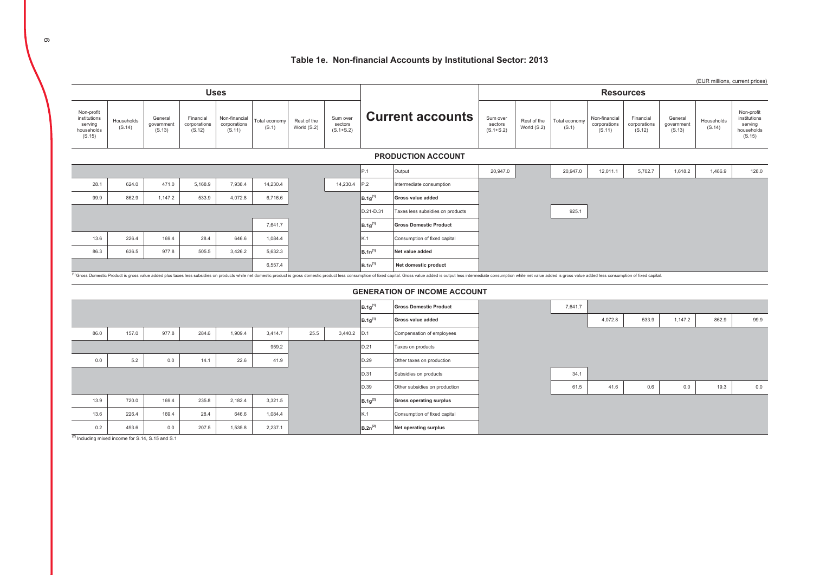# Table 1e. Non-financial Accounts by Institutional Sector: 2013

|                                                               |                      |                                 |                                     |                                         |                        |                            |                                      |              |                                                                                                                                                                                                                                                                 |                                      |                            |                        |                                         |                                     |                                 | (EUR millions, current prices) |                                                               |
|---------------------------------------------------------------|----------------------|---------------------------------|-------------------------------------|-----------------------------------------|------------------------|----------------------------|--------------------------------------|--------------|-----------------------------------------------------------------------------------------------------------------------------------------------------------------------------------------------------------------------------------------------------------------|--------------------------------------|----------------------------|------------------------|-----------------------------------------|-------------------------------------|---------------------------------|--------------------------------|---------------------------------------------------------------|
|                                                               |                      |                                 |                                     | <b>Uses</b>                             |                        |                            |                                      |              |                                                                                                                                                                                                                                                                 |                                      |                            |                        | <b>Resources</b>                        |                                     |                                 |                                |                                                               |
| Non-profit<br>institutions<br>serving<br>households<br>(S.15) | Households<br>(S.14) | General<br>government<br>(S.13) | Financial<br>corporations<br>(S.12) | Non-financial<br>corporations<br>(S.11) | Total economy<br>(S.1) | Rest of the<br>World (S.2) | Sum over<br>sectors<br>$(S.1 + S.2)$ |              | <b>Current accounts</b>                                                                                                                                                                                                                                         | Sum over<br>sectors<br>$(S.1 + S.2)$ | Rest of the<br>World (S.2) | Total economy<br>(S.1) | Non-financial<br>corporations<br>(S.11) | Financial<br>corporations<br>(S.12) | General<br>government<br>(S.13) | Households<br>(S.14)           | Non-profit<br>institutions<br>serving<br>households<br>(S.15) |
|                                                               |                      |                                 |                                     |                                         |                        |                            |                                      |              | <b>PRODUCTION ACCOUNT</b>                                                                                                                                                                                                                                       |                                      |                            |                        |                                         |                                     |                                 |                                |                                                               |
|                                                               |                      |                                 |                                     |                                         |                        |                            |                                      | P.1          | Output                                                                                                                                                                                                                                                          | 20,947.0                             |                            | 20,947.0               | 12,011.1                                | 5,702.7                             | 1,618.2                         | 1,486.9                        | 128.0                                                         |
| 28.1                                                          | 624.0                | 471.0                           | 5,168.9                             | 7,938.4                                 | 14,230.4               |                            | 14,230.4                             | P.2          | Intermediate consumption                                                                                                                                                                                                                                        |                                      |                            |                        |                                         |                                     |                                 |                                |                                                               |
| 99.9                                                          | 862.9                | 1,147.2                         | 533.9                               | 4,072.8                                 | 6,716.6                |                            |                                      | $B.1g^{(1)}$ | Gross value added                                                                                                                                                                                                                                               |                                      |                            |                        |                                         |                                     |                                 |                                |                                                               |
|                                                               |                      |                                 |                                     |                                         |                        |                            |                                      | D.21-D.31    | Taxes less subsidies on products                                                                                                                                                                                                                                |                                      |                            | 925.1                  |                                         |                                     |                                 |                                |                                                               |
|                                                               |                      |                                 |                                     |                                         | 7,641.7                |                            |                                      | $B.1g^{(1)}$ | <b>Gross Domestic Product</b>                                                                                                                                                                                                                                   |                                      |                            |                        |                                         |                                     |                                 |                                |                                                               |
| 13.6                                                          | 226.4                | 169.4                           | 28.4                                | 646.6                                   | 1,084.4                |                            |                                      | K.1          | Consumption of fixed capital                                                                                                                                                                                                                                    |                                      |                            |                        |                                         |                                     |                                 |                                |                                                               |
| 86.3                                                          | 636.5                | 977.8                           | 505.5                               | 3,426.2                                 | 5,632.3                |                            |                                      | $B.1n^{(1)}$ | Net value added                                                                                                                                                                                                                                                 |                                      |                            |                        |                                         |                                     |                                 |                                |                                                               |
|                                                               |                      |                                 |                                     |                                         | 6,557.4                |                            |                                      | $B.1n^{(1)}$ | Net domestic product<br><sup>1)</sup> Gross Domestic Product is gross value added plus taxes less subsidies on products while net domestic product is gross domestic product less consumption of fixed capital. Gross value added is output less intermediate c |                                      |                            |                        |                                         |                                     |                                 |                                |                                                               |
|                                                               |                      |                                 |                                     |                                         |                        |                            |                                      |              |                                                                                                                                                                                                                                                                 |                                      |                            |                        |                                         |                                     |                                 |                                |                                                               |
|                                                               |                      |                                 |                                     |                                         |                        |                            |                                      |              | <b>GENERATION OF INCOME ACCOUNT</b>                                                                                                                                                                                                                             |                                      |                            |                        |                                         |                                     |                                 |                                |                                                               |
|                                                               |                      |                                 |                                     |                                         |                        |                            |                                      | $B.1g^{(1)}$ | <b>Gross Domestic Product</b>                                                                                                                                                                                                                                   |                                      |                            | 7,641.7                |                                         |                                     |                                 |                                |                                                               |
|                                                               |                      |                                 |                                     |                                         |                        |                            |                                      | $B.1g^{(1)}$ | Gross value added                                                                                                                                                                                                                                               |                                      |                            |                        | 4,072.8                                 | 533.9                               | 1,147.2                         | 862.9                          | 99.9                                                          |
| 86.0                                                          | 157.0                | 977.8                           | 284.6                               | 1,909.4                                 | 3,414.7                | 25.5                       | 3,440.2                              | D.1          | Compensation of employees                                                                                                                                                                                                                                       |                                      |                            |                        |                                         |                                     |                                 |                                |                                                               |
|                                                               |                      |                                 |                                     |                                         | 959.2                  |                            |                                      | D.21         | Taxes on products                                                                                                                                                                                                                                               |                                      |                            |                        |                                         |                                     |                                 |                                |                                                               |
| 0.0                                                           | 5.2                  | 0.0                             | 14.1                                | 22.6                                    | 41.9                   |                            |                                      | D.29         | Other taxes on production                                                                                                                                                                                                                                       |                                      |                            |                        |                                         |                                     |                                 |                                |                                                               |
|                                                               |                      |                                 |                                     |                                         |                        |                            |                                      | D.31         | Subsidies on products                                                                                                                                                                                                                                           |                                      |                            | 34.1                   |                                         |                                     |                                 |                                |                                                               |
|                                                               |                      |                                 |                                     |                                         |                        |                            |                                      | D.39         | Other subsidies on production                                                                                                                                                                                                                                   |                                      |                            | 61.5                   | 41.6                                    | 0.6                                 | $0.0\,$                         | 19.3                           | 0.0                                                           |
| 13.9                                                          | 720.0                | 169.4                           | 235.8                               | 2,182.4                                 | 3,321.5                |                            |                                      | $B.1g^{(2)}$ | <b>Gross operating surplus</b>                                                                                                                                                                                                                                  |                                      |                            |                        |                                         |                                     |                                 |                                |                                                               |
| 13.6                                                          | 226.4                | 169.4                           | 28.4                                | 646.6                                   | 1.084.4                |                            |                                      | K.1          | Consumption of fixed capital                                                                                                                                                                                                                                    |                                      |                            |                        |                                         |                                     |                                 |                                |                                                               |

Net operating surplus

 $B.2n^{(2)}$ 

 $(2)$  Including mixed income for S.14, S.15 and S.1

493.6

 $0.2$ 

207.5

 $0.0$ 

1,535.8

 $2,237.1$ 

 $\infty$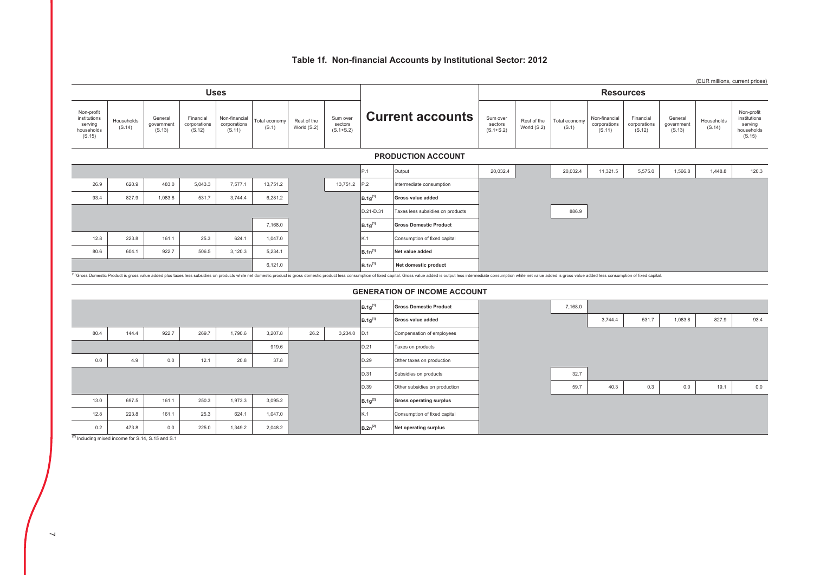# Table 1f. Non-financial Accounts by Institutional Sector: 2012

|                                                               |                      |                                 |                                     |                                         |                        |                            |                                      |              |                                                                                                                                                                                                                                |                                      |                            |                        |                                         |                                     |                                 |                      | (EUR millions, current prices)                                |
|---------------------------------------------------------------|----------------------|---------------------------------|-------------------------------------|-----------------------------------------|------------------------|----------------------------|--------------------------------------|--------------|--------------------------------------------------------------------------------------------------------------------------------------------------------------------------------------------------------------------------------|--------------------------------------|----------------------------|------------------------|-----------------------------------------|-------------------------------------|---------------------------------|----------------------|---------------------------------------------------------------|
|                                                               |                      |                                 |                                     | <b>Uses</b>                             |                        |                            |                                      |              |                                                                                                                                                                                                                                |                                      |                            |                        | <b>Resources</b>                        |                                     |                                 |                      |                                                               |
| Non-profit<br>institutions<br>serving<br>households<br>(S.15) | Households<br>(S.14) | General<br>government<br>(S.13) | Financial<br>corporations<br>(S.12) | Non-financial<br>corporations<br>(S.11) | Total economy<br>(S.1) | Rest of the<br>World (S.2) | Sum over<br>sectors<br>$(S.1 + S.2)$ |              | <b>Current accounts</b>                                                                                                                                                                                                        | Sum over<br>sectors<br>$(S.1 + S.2)$ | Rest of the<br>World (S.2) | Total economy<br>(S.1) | Non-financial<br>corporations<br>(S.11) | Financial<br>corporations<br>(S.12) | General<br>government<br>(S.13) | Households<br>(S.14) | Non-profit<br>institutions<br>serving<br>households<br>(S.15) |
|                                                               |                      |                                 |                                     |                                         |                        |                            |                                      |              | <b>PRODUCTION ACCOUNT</b>                                                                                                                                                                                                      |                                      |                            |                        |                                         |                                     |                                 |                      |                                                               |
|                                                               |                      |                                 |                                     |                                         |                        |                            |                                      | P.1          | Output                                                                                                                                                                                                                         | 20,032.4                             |                            | 20,032.4               | 11,321.5                                | 5,575.0                             | 1,566.8                         | 1,448.8              | 120.3                                                         |
| 26.9                                                          | 620.9                | 483.0                           | 5,043.3                             | 7,577.1                                 | 13,751.2               |                            | 13,751.2                             | P.2          | Intermediate consumption                                                                                                                                                                                                       |                                      |                            |                        |                                         |                                     |                                 |                      |                                                               |
| 93.4                                                          | 827.9                | 1,083.8                         | 531.7                               | 3,744.4                                 | 6,281.2                |                            |                                      | $B.1g^{(1)}$ | <b>Gross value added</b>                                                                                                                                                                                                       |                                      |                            |                        |                                         |                                     |                                 |                      |                                                               |
|                                                               |                      |                                 |                                     |                                         |                        |                            |                                      | D.21-D.31    | Taxes less subsidies on products                                                                                                                                                                                               |                                      |                            | 886.9                  |                                         |                                     |                                 |                      |                                                               |
|                                                               |                      |                                 |                                     |                                         | 7,168.0                |                            |                                      | $B.1g^{(1)}$ | <b>Gross Domestic Product</b>                                                                                                                                                                                                  |                                      |                            |                        |                                         |                                     |                                 |                      |                                                               |
| 12.8                                                          | 223.8                | 161.1                           | 25.3                                | 624.1                                   | 1,047.0                |                            |                                      | K.1          | Consumption of fixed capital                                                                                                                                                                                                   |                                      |                            |                        |                                         |                                     |                                 |                      |                                                               |
| 80.6                                                          | 604.1                | 922.7                           | 506.5                               | 3,120.3                                 | 5,234.1                |                            |                                      | $B.1n^{(1)}$ | Net value added                                                                                                                                                                                                                |                                      |                            |                        |                                         |                                     |                                 |                      |                                                               |
|                                                               |                      |                                 |                                     |                                         | 6,121.0                |                            |                                      | $B.1n^{(1)}$ | Net domestic product                                                                                                                                                                                                           |                                      |                            |                        |                                         |                                     |                                 |                      |                                                               |
|                                                               |                      |                                 |                                     |                                         |                        |                            |                                      |              | (1) Gross Domestic Product is gross value added plus taxes less subsidies on products while net domestic product is gross domestic product less consumption of fixed capital. Gross value added is output less intermediate co |                                      |                            |                        |                                         |                                     |                                 |                      |                                                               |
|                                                               |                      |                                 |                                     |                                         |                        |                            |                                      |              | <b>GENERATION OF INCOME ACCOUNT</b>                                                                                                                                                                                            |                                      |                            |                        |                                         |                                     |                                 |                      |                                                               |
|                                                               |                      |                                 |                                     |                                         |                        |                            |                                      | $B.1g^{(1)}$ | <b>Gross Domestic Product</b>                                                                                                                                                                                                  |                                      |                            | 7,168.0                |                                         |                                     |                                 |                      |                                                               |
|                                                               |                      |                                 |                                     |                                         |                        |                            |                                      | $B.1g^{(1)}$ | <b>Gross value added</b>                                                                                                                                                                                                       |                                      |                            |                        | 3,744.4                                 | 531.7                               | 1,083.8                         | 827.9                | 93.4                                                          |
| 80.4                                                          | 144.4                | 922.7                           | 269.7                               | 1,790.6                                 | 3,207.8                | 26.2                       | 3,234.0                              | D.1          | Compensation of employees                                                                                                                                                                                                      |                                      |                            |                        |                                         |                                     |                                 |                      |                                                               |
|                                                               |                      |                                 |                                     |                                         | 919.6                  |                            |                                      | D.21         | Taxes on products                                                                                                                                                                                                              |                                      |                            |                        |                                         |                                     |                                 |                      |                                                               |
| 0.0                                                           | 4.9                  | 0.0                             | 12.1                                | 20.8                                    | 37.8                   |                            |                                      | D.29         | Other taxes on production                                                                                                                                                                                                      |                                      |                            |                        |                                         |                                     |                                 |                      |                                                               |
|                                                               |                      |                                 |                                     |                                         |                        |                            |                                      | D.31         | Subsidies on products                                                                                                                                                                                                          |                                      |                            | 32.7                   |                                         |                                     |                                 |                      |                                                               |
|                                                               |                      |                                 |                                     |                                         |                        |                            |                                      | D.39         | Other subsidies on production                                                                                                                                                                                                  |                                      |                            | 59.7                   | 40.3                                    | 0.3                                 | 0.0                             | 19.1                 | 0.0                                                           |
| 13.0                                                          | 697.5                | 161.1                           | 250.3                               | 1,973.3                                 | 3,095.2                |                            |                                      | $B.1g^{(2)}$ | <b>Gross operating surplus</b>                                                                                                                                                                                                 |                                      |                            |                        |                                         |                                     |                                 |                      |                                                               |
| 12.8                                                          | 223.8                | 161.1                           | 25.3                                | 624.1                                   | 1,047.0                |                            |                                      | K.1          | Consumption of fixed capital                                                                                                                                                                                                   |                                      |                            |                        |                                         |                                     |                                 |                      |                                                               |

Net operating surplus

 $B.2n^{(2)}$ 

 $\frac{(2)}{(2)}$  Including mixed income for S.14, S.15 and S.1

473.8

 $0.2$ 

 $0.0$ 

225.0

1,349.2

2,048.2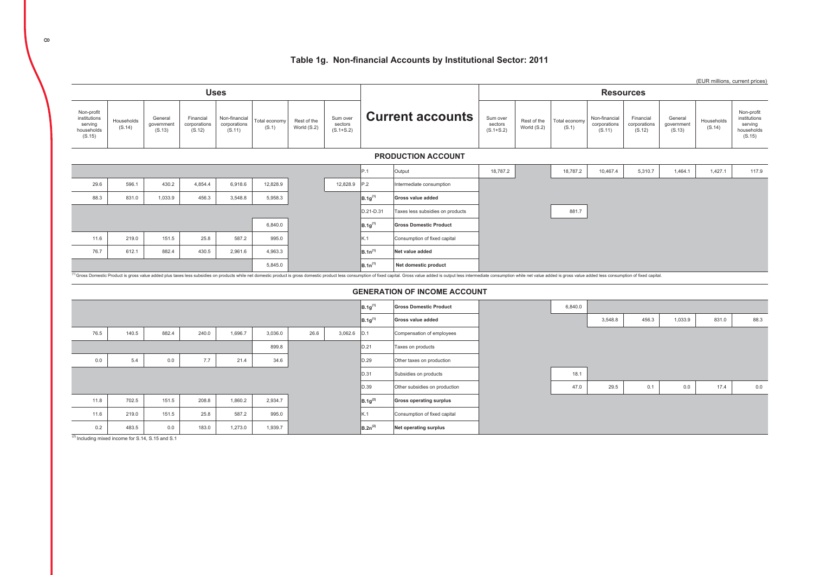# Table 1g. Non-financial Accounts by Institutional Sector: 2011

|                                                               |                      |                                 |                                     |                                         |                        |                            |                                      |                     |                                                                                                                                                                                                                                         |                                      |                            |                        |                                         |                                     |                                 | (EUR millions, current prices) |                                                               |
|---------------------------------------------------------------|----------------------|---------------------------------|-------------------------------------|-----------------------------------------|------------------------|----------------------------|--------------------------------------|---------------------|-----------------------------------------------------------------------------------------------------------------------------------------------------------------------------------------------------------------------------------------|--------------------------------------|----------------------------|------------------------|-----------------------------------------|-------------------------------------|---------------------------------|--------------------------------|---------------------------------------------------------------|
|                                                               |                      |                                 |                                     | <b>Uses</b>                             |                        |                            |                                      |                     |                                                                                                                                                                                                                                         |                                      |                            |                        | <b>Resources</b>                        |                                     |                                 |                                |                                                               |
| Non-profit<br>institutions<br>serving<br>households<br>(S.15) | Households<br>(S.14) | General<br>government<br>(S.13) | Financial<br>corporations<br>(S.12) | Non-financial<br>corporations<br>(S.11) | Total economy<br>(S.1) | Rest of the<br>World (S.2) | Sum over<br>sectors<br>$(S.1 + S.2)$ |                     | <b>Current accounts</b>                                                                                                                                                                                                                 | Sum over<br>sectors<br>$(S.1 + S.2)$ | Rest of the<br>World (S.2) | Total economy<br>(S.1) | Non-financial<br>corporations<br>(S.11) | Financial<br>corporations<br>(S.12) | General<br>government<br>(S.13) | Households<br>(S.14)           | Non-profit<br>institutions<br>serving<br>households<br>(S.15) |
|                                                               |                      |                                 |                                     |                                         |                        |                            |                                      |                     | <b>PRODUCTION ACCOUNT</b>                                                                                                                                                                                                               |                                      |                            |                        |                                         |                                     |                                 |                                |                                                               |
|                                                               |                      |                                 |                                     |                                         |                        |                            |                                      | P.1                 | Output                                                                                                                                                                                                                                  | 18,787.2                             |                            | 18,787.2               | 10,467.4                                | 5,310.7                             | 1,464.1                         | 1,427.1                        | 117.9                                                         |
| 29.6                                                          | 596.1                | 430.2                           | 4,854.4                             | 6,918.6                                 | 12,828.9               |                            | 12,828.9                             | P.2                 | Intermediate consumption                                                                                                                                                                                                                |                                      |                            |                        |                                         |                                     |                                 |                                |                                                               |
| 88.3                                                          | 831.0                | 1,033.9                         | 456.3                               | 3,548.8                                 | 5,958.3                |                            |                                      | $B.1g^{(1)}$        | Gross value added                                                                                                                                                                                                                       |                                      |                            |                        |                                         |                                     |                                 |                                |                                                               |
|                                                               |                      |                                 |                                     |                                         |                        |                            |                                      | D.21-D.31           | Taxes less subsidies on products                                                                                                                                                                                                        |                                      |                            | 881.7                  |                                         |                                     |                                 |                                |                                                               |
|                                                               |                      |                                 |                                     |                                         | 6,840.0                |                            |                                      | $B.1g^{(1)}$        | <b>Gross Domestic Product</b>                                                                                                                                                                                                           |                                      |                            |                        |                                         |                                     |                                 |                                |                                                               |
| 11.6                                                          | 219.0                | 151.5                           | 25.8                                | 587.2                                   | 995.0                  |                            |                                      | K.1                 | Consumption of fixed capital                                                                                                                                                                                                            |                                      |                            |                        |                                         |                                     |                                 |                                |                                                               |
| 76.7                                                          | 612.1                | 882.4                           | 430.5                               | 2,961.6                                 | 4.963.3                |                            |                                      | B.1n <sup>(1)</sup> | Net value added                                                                                                                                                                                                                         |                                      |                            |                        |                                         |                                     |                                 |                                |                                                               |
|                                                               |                      |                                 |                                     |                                         | 5,845.0                |                            |                                      | $B.1n^{(1)}$        | Net domestic product                                                                                                                                                                                                                    |                                      |                            |                        |                                         |                                     |                                 |                                |                                                               |
|                                                               |                      |                                 |                                     |                                         |                        |                            |                                      |                     | <sup>1)</sup> Gross Domestic Product is gross value added plus taxes less subsidies on products while net domestic product is gross domestic product less consumption of fixed capital. Gross value added is output less intermediate c |                                      |                            |                        |                                         |                                     |                                 |                                |                                                               |
|                                                               |                      |                                 |                                     |                                         |                        |                            |                                      |                     | <b>GENERATION OF INCOME ACCOUNT</b>                                                                                                                                                                                                     |                                      |                            |                        |                                         |                                     |                                 |                                |                                                               |
|                                                               |                      |                                 |                                     |                                         |                        |                            |                                      | $B.1g^{(1)}$        | <b>Gross Domestic Product</b>                                                                                                                                                                                                           |                                      |                            | 6,840.0                |                                         |                                     |                                 |                                |                                                               |
|                                                               |                      |                                 |                                     |                                         |                        |                            |                                      | $B.1g^{(1)}$        | Gross value added                                                                                                                                                                                                                       |                                      |                            |                        | 3,548.8                                 | 456.3                               | 1,033.9                         | 831.0                          | 88.3                                                          |
| 76.5                                                          | 140.5                | 882.4                           | 240.0                               | 1,696.7                                 | 3,036.0                | 26.6                       | 3,062.6                              | D.1                 | Compensation of employees                                                                                                                                                                                                               |                                      |                            |                        |                                         |                                     |                                 |                                |                                                               |
|                                                               |                      |                                 |                                     |                                         | 899.8                  |                            |                                      | D.21                | Taxes on products                                                                                                                                                                                                                       |                                      |                            |                        |                                         |                                     |                                 |                                |                                                               |
| 0.0                                                           | 5.4                  | 0.0                             | 7.7                                 | 21.4                                    | 34.6                   |                            |                                      | D.29                | Other taxes on production                                                                                                                                                                                                               |                                      |                            |                        |                                         |                                     |                                 |                                |                                                               |
|                                                               |                      |                                 |                                     |                                         |                        |                            |                                      | D.31                | Subsidies on products                                                                                                                                                                                                                   |                                      |                            | 18.1                   |                                         |                                     |                                 |                                |                                                               |
|                                                               |                      |                                 |                                     |                                         |                        |                            |                                      | D.39                | Other subsidies on production                                                                                                                                                                                                           |                                      |                            | 47.0                   | 29.5                                    | 0.1                                 | 0.0                             | 17.4                           | 0.0                                                           |
| 11.8                                                          | 702.5                | 151.5                           | 208.8                               | 1,860.2                                 | 2,934.7                |                            |                                      | $B.1g^{(2)}$        | <b>Gross operating surplus</b>                                                                                                                                                                                                          |                                      |                            |                        |                                         |                                     |                                 |                                |                                                               |

Consumption of fixed capital

Net operating surplus

 $\mathsf{k}$ .1

 $B.2n^{(2)}$ 

 $(2)$  Including mixed income for S.14, S.15 and S.1

219.0

483.5

151.5

 $0.0$ 

25.8

183.0

587.2

1,273.0

995.0

1,939.7

 $11.6$ 

 $0.2$ 

 $\infty$